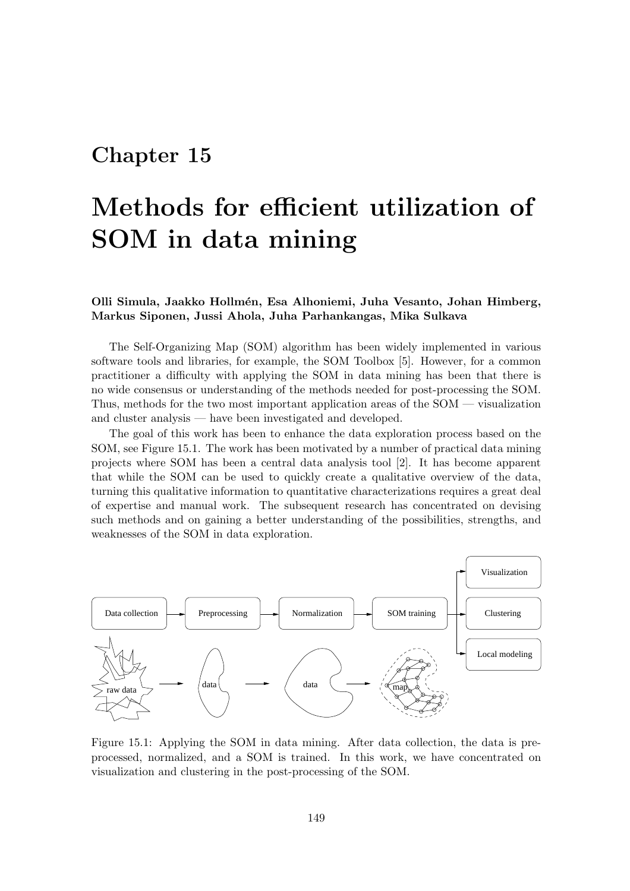## Chapter 15

## Methods for efficient utilization of SOM in data mining

## Olli Simula, Jaakko Hollm´en, Esa Alhoniemi, Juha Vesanto, Johan Himberg, Markus Siponen, Jussi Ahola, Juha Parhankangas, Mika Sulkava

The Self-Organizing Map (SOM) algorithm has been widely implemented in various software tools and libraries, for example, the SOM Toolbox [5]. However, for a common practitioner a difficulty with applying the SOM in data mining has been that there is no wide consensus or understanding of the methods needed for post-processing the SOM. Thus, methods for the two most important application areas of the SOM — visualization and cluster analysis — have been investigated and developed.

The goal of this work has been to enhance the data exploration process based on the SOM, see Figure 15.1. The work has been motivated by a number of practical data mining projects where SOM has been a central data analysis tool [2]. It has become apparent that while the SOM can be used to quickly create a qualitative overview of the data, turning this qualitative information to quantitative characterizations requires a great deal of expertise and manual work. The subsequent research has concentrated on devising such methods and on gaining a better understanding of the possibilities, strengths, and weaknesses of the SOM in data exploration.



Figure 15.1: Applying the SOM in data mining. After data collection, the data is preprocessed, normalized, and a SOM is trained. In this work, we have concentrated on visualization and clustering in the post-processing of the SOM.